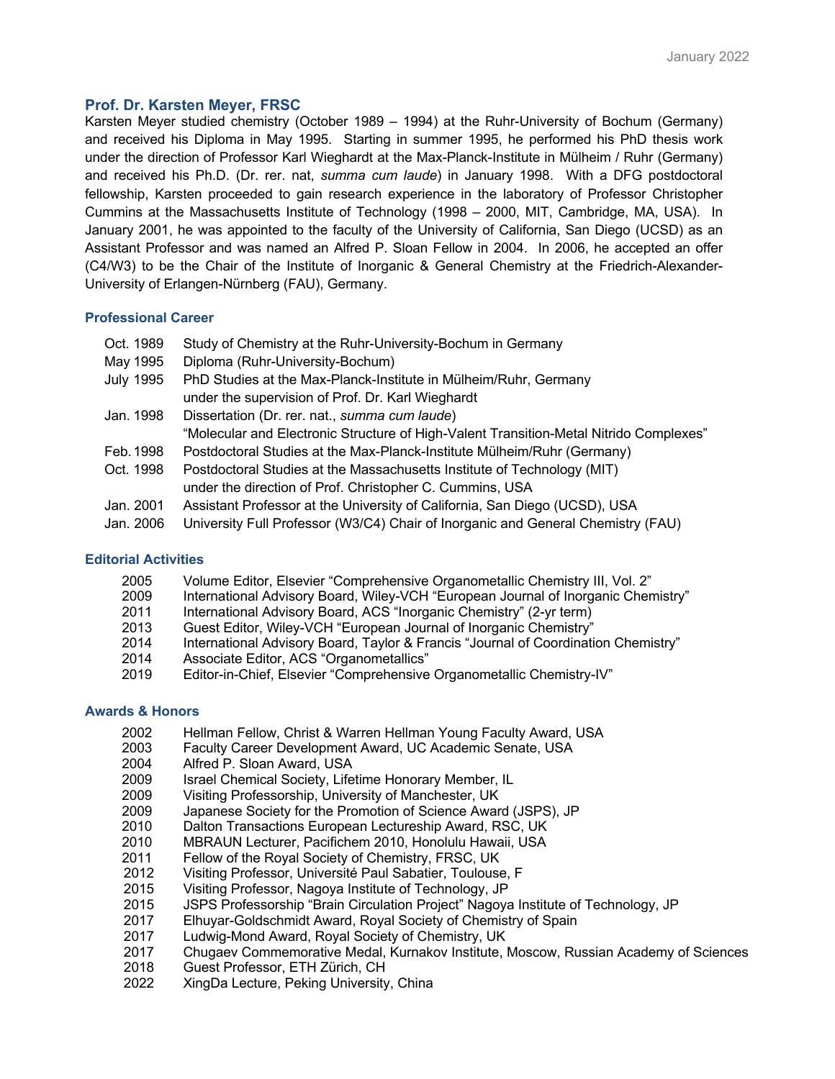# **Prof. Dr. Karsten Meyer, FRSC**

Karsten Meyer studied chemistry (October 1989 – 1994) at the Ruhr-University of Bochum (Germany) and received his Diploma in May 1995. Starting in summer 1995, he performed his PhD thesis work under the direction of Professor Karl Wieghardt at the Max-Planck-Institute in Mülheim / Ruhr (Germany) and received his Ph.D. (Dr. rer. nat, *summa cum laude*) in January 1998. With a DFG postdoctoral fellowship, Karsten proceeded to gain research experience in the laboratory of Professor Christopher Cummins at the Massachusetts Institute of Technology (1998 – 2000, MIT, Cambridge, MA, USA). In January 2001, he was appointed to the faculty of the University of California, San Diego (UCSD) as an Assistant Professor and was named an Alfred P. Sloan Fellow in 2004. In 2006, he accepted an offer (C4/W3) to be the Chair of the Institute of Inorganic & General Chemistry at the Friedrich-Alexander-University of Erlangen-Nürnberg (FAU), Germany.

# **Professional Career**

- Oct. 1989 Study of Chemistry at the Ruhr-University-Bochum in Germany
- May 1995 Diploma (Ruhr-University-Bochum)
- July 1995 PhD Studies at the Max-Planck-Institute in Mülheim/Ruhr, Germany under the supervision of Prof. Dr. Karl Wieghardt
- Jan. 1998 Dissertation (Dr. rer. nat., *summa cum laude*)
	- "Molecular and Electronic Structure of High-Valent Transition-Metal Nitrido Complexes"
- Feb.1998 Postdoctoral Studies at the Max-Planck-Institute Mülheim/Ruhr (Germany)
- Oct. 1998 Postdoctoral Studies at the Massachusetts Institute of Technology (MIT) under the direction of Prof. Christopher C. Cummins, USA
- Jan. 2001 Assistant Professor at the University of California, San Diego (UCSD), USA
- Jan. 2006 University Full Professor (W3/C4) Chair of Inorganic and General Chemistry (FAU)

### **Editorial Activities**

- 2005 Volume Editor, Elsevier "Comprehensive Organometallic Chemistry III, Vol. 2"
- 2009 International Advisory Board, Wiley-VCH "European Journal of Inorganic Chemistry"
- 2011 International Advisory Board, ACS "Inorganic Chemistry" (2-yr term)
- 2013 Guest Editor, Wiley-VCH "European Journal of Inorganic Chemistry"
- 2014 International Advisory Board, Taylor & Francis "Journal of Coordination Chemistry"
- 2014 Associate Editor, ACS "Organometallics"
- 2019 Editor-in-Chief, Elsevier "Comprehensive Organometallic Chemistry-IV"

## **Awards & Honors**

- 2002 Hellman Fellow, Christ & Warren Hellman Young Faculty Award, USA
- 2003 Faculty Career Development Award, UC Academic Senate, USA
- 2004 Alfred P. Sloan Award, USA
- 2009 Israel Chemical Society, Lifetime Honorary Member, IL
- 2009 Visiting Professorship, University of Manchester, UK
- 2009 Japanese Society for the Promotion of Science Award (JSPS), JP
- 2010 Dalton Transactions European Lectureship Award, RSC, UK
- 2010 MBRAUN Lecturer, Pacifichem 2010, Honolulu Hawaii, USA
- 2011 Fellow of the Royal Society of Chemistry, FRSC, UK
- 2012 Visiting Professor, Université Paul Sabatier, Toulouse, F
- 2015 Visiting Professor, Nagoya Institute of Technology, JP
- 2015 JSPS Professorship "Brain Circulation Project" Nagoya Institute of Technology, JP
- 2017 Elhuyar-Goldschmidt Award, Royal Society of Chemistry of Spain
- 2017 Ludwig-Mond Award, Royal Society of Chemistry, UK
- 2017 Chugaev Commemorative Medal, Kurnakov Institute, Moscow, Russian Academy of Sciences
- 2018 Guest Professor, ETH Zürich, CH
- 2022 XingDa Lecture, Peking University, China